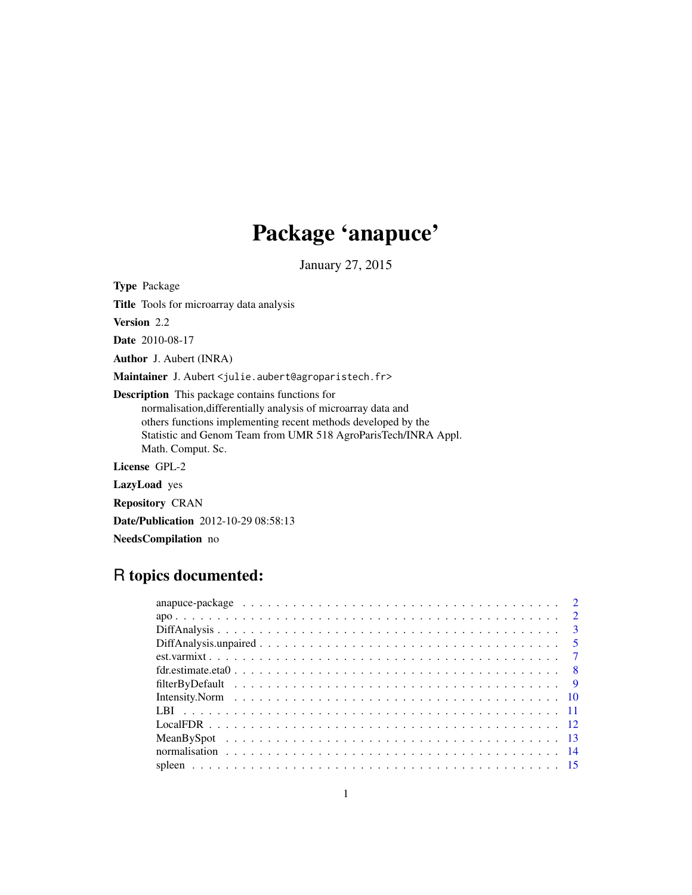# Package 'anapuce'

January 27, 2015

<span id="page-0-0"></span>Type Package

Title Tools for microarray data analysis

Version 2.2

Date 2010-08-17

Author J. Aubert (INRA)

Maintainer J. Aubert <julie.aubert@agroparistech.fr>

Description This package contains functions for

normalisation,differentially analysis of microarray data and others functions implementing recent methods developed by the Statistic and Genom Team from UMR 518 AgroParisTech/INRA Appl. Math. Comput. Sc.

License GPL-2

LazyLoad yes

Repository CRAN

Date/Publication 2012-10-29 08:58:13

NeedsCompilation no

# R topics documented:

| fdr.estimate.eta $0 \ldots \ldots \ldots \ldots \ldots \ldots \ldots \ldots \ldots \ldots \ldots \ldots \ldots$ |  |
|-----------------------------------------------------------------------------------------------------------------|--|
|                                                                                                                 |  |
|                                                                                                                 |  |
|                                                                                                                 |  |
|                                                                                                                 |  |
|                                                                                                                 |  |
|                                                                                                                 |  |
|                                                                                                                 |  |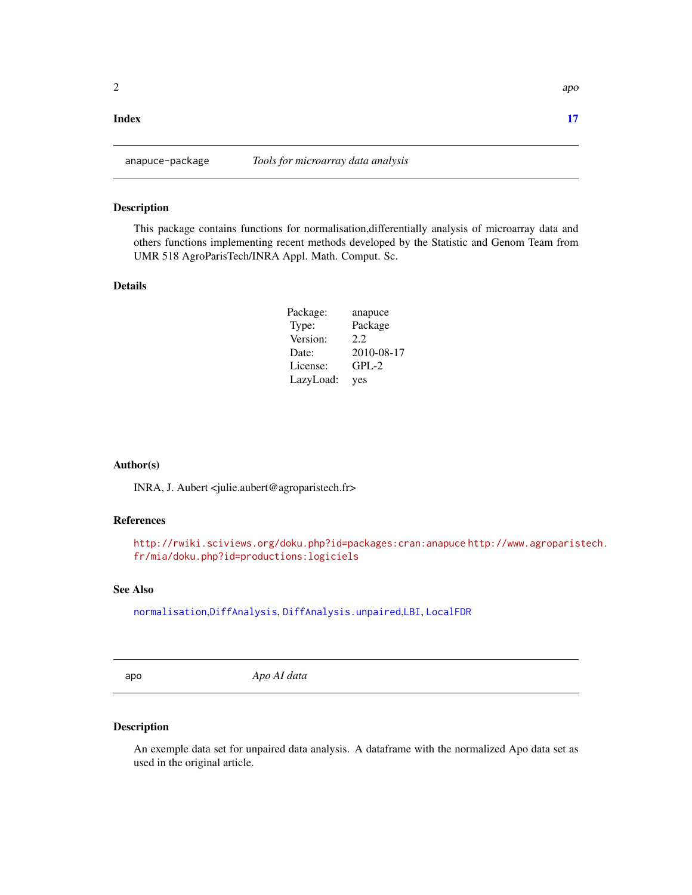#### <span id="page-1-0"></span>**Index** [17](#page-16-0)

#### Description

This package contains functions for normalisation,differentially analysis of microarray data and others functions implementing recent methods developed by the Statistic and Genom Team from UMR 518 AgroParisTech/INRA Appl. Math. Comput. Sc.

#### Details

| Package:  | anapuce    |
|-----------|------------|
| Type:     | Package    |
| Version:  | 2.2.       |
| Date:     | 2010-08-17 |
| License:  | $GPL-2$    |
| LazyLoad: | yes        |

#### Author(s)

INRA, J. Aubert <julie.aubert@agroparistech.fr>

#### References

<http://rwiki.sciviews.org/doku.php?id=packages:cran:anapuce> [http://www.agroparis](http://www.agroparistech.fr/mia/doku.php?id=productions:logiciels)tech. [fr/mia/doku.php?id=productions:logiciels](http://www.agroparistech.fr/mia/doku.php?id=productions:logiciels)

#### See Also

[normalisation](#page-13-1),[DiffAnalysis](#page-2-1), [DiffAnalysis.unpaired](#page-4-1),[LBI](#page-10-1), [LocalFDR](#page-11-1)

apo *Apo AI data*

#### Description

An exemple data set for unpaired data analysis. A dataframe with the normalized Apo data set as used in the original article.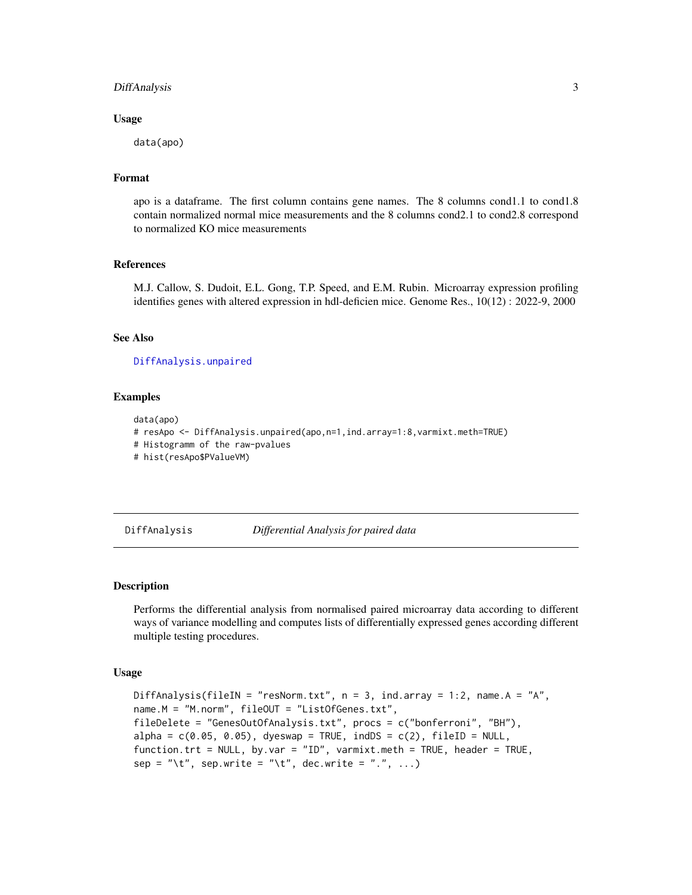#### <span id="page-2-0"></span>DiffAnalysis 3

#### Usage

data(apo)

#### Format

apo is a dataframe. The first column contains gene names. The 8 columns cond1.1 to cond1.8 contain normalized normal mice measurements and the 8 columns cond2.1 to cond2.8 correspond to normalized KO mice measurements

#### References

M.J. Callow, S. Dudoit, E.L. Gong, T.P. Speed, and E.M. Rubin. Microarray expression profiling identifies genes with altered expression in hdl-deficien mice. Genome Res., 10(12) : 2022-9, 2000

#### See Also

[DiffAnalysis.unpaired](#page-4-1)

#### Examples

```
data(apo)
# resApo <- DiffAnalysis.unpaired(apo,n=1,ind.array=1:8,varmixt.meth=TRUE)
# Histogramm of the raw-pvalues
# hist(resApo$PValueVM)
```
<span id="page-2-1"></span>DiffAnalysis *Differential Analysis for paired data*

#### Description

Performs the differential analysis from normalised paired microarray data according to different ways of variance modelling and computes lists of differentially expressed genes according different multiple testing procedures.

#### Usage

```
DiffAnalysis(fileIN = "resNorm.txt", n = 3, ind.array = 1:2, name.A = "A",
name.M = "M.norm", fileOUT = "ListOfGenes.txt",
fileDelete = "GenesOutOfAnalysis.txt", procs = c("bonferroni", "BH"),
alpha = c(0.05, 0.05), dyeswap = TRUE, indDS = c(2), fileID = NULL,
function.trt = NULL, by.var = "ID", varmixt.meth = TRUE, header = TRUE,
sep = "t", sep.write = "t", dec.write = "...
```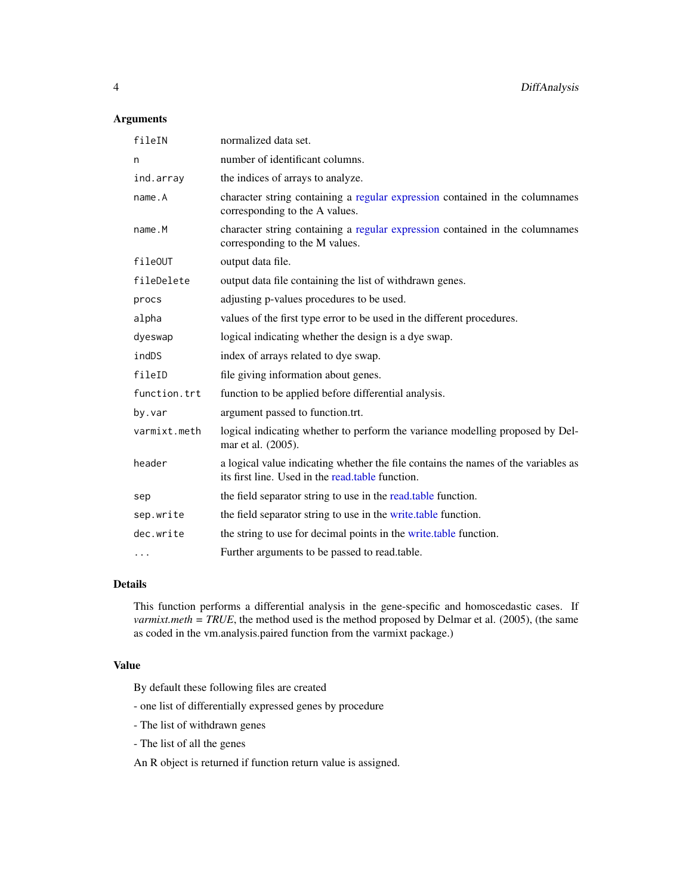#### <span id="page-3-0"></span>Arguments

| fileIN       | normalized data set.                                                                                                                   |
|--------------|----------------------------------------------------------------------------------------------------------------------------------------|
| n            | number of identificant columns.                                                                                                        |
| ind.array    | the indices of arrays to analyze.                                                                                                      |
| name.A       | character string containing a regular expression contained in the columnames<br>corresponding to the A values.                         |
| name.M       | character string containing a regular expression contained in the columnames<br>corresponding to the M values.                         |
| fileOUT      | output data file.                                                                                                                      |
| fileDelete   | output data file containing the list of withdrawn genes.                                                                               |
| procs        | adjusting p-values procedures to be used.                                                                                              |
| alpha        | values of the first type error to be used in the different procedures.                                                                 |
| dyeswap      | logical indicating whether the design is a dye swap.                                                                                   |
| indDS        | index of arrays related to dye swap.                                                                                                   |
| fileID       | file giving information about genes.                                                                                                   |
| function.trt | function to be applied before differential analysis.                                                                                   |
| by.var       | argument passed to function.trt.                                                                                                       |
| varmixt.meth | logical indicating whether to perform the variance modelling proposed by Del-<br>mar et al. (2005).                                    |
| header       | a logical value indicating whether the file contains the names of the variables as<br>its first line. Used in the read.table function. |
| sep          | the field separator string to use in the read, table function.                                                                         |
| sep.write    | the field separator string to use in the write table function.                                                                         |
| dec.write    | the string to use for decimal points in the write.table function.                                                                      |
| $\cdots$     | Further arguments to be passed to read.table.                                                                                          |

## Details

This function performs a differential analysis in the gene-specific and homoscedastic cases. If *varmixt.meth = TRUE*, the method used is the method proposed by Delmar et al. (2005), (the same as coded in the vm.analysis.paired function from the varmixt package.)

## Value

By default these following files are created

- one list of differentially expressed genes by procedure
- The list of withdrawn genes
- The list of all the genes

An R object is returned if function return value is assigned.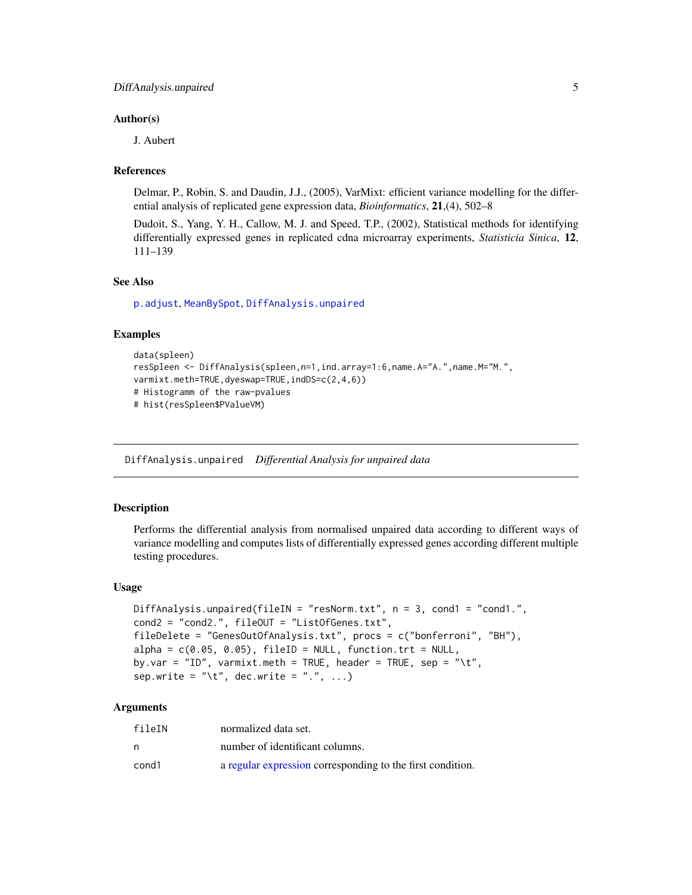#### <span id="page-4-0"></span>Author(s)

J. Aubert

#### References

Delmar, P., Robin, S. and Daudin, J.J., (2005), VarMixt: efficient variance modelling for the differential analysis of replicated gene expression data, *Bioinformatics*, 21,(4), 502–8

Dudoit, S., Yang, Y. H., Callow, M. J. and Speed, T.P., (2002), Statistical methods for identifying differentially expressed genes in replicated cdna microarray experiments, *Statisticia Sinica*, 12, 111–139

#### See Also

[p.adjust](#page-0-0), [MeanBySpot](#page-12-1), [DiffAnalysis.unpaired](#page-4-1)

#### Examples

```
data(spleen)
resSpleen <- DiffAnalysis(spleen,n=1,ind.array=1:6,name.A="A.",name.M="M.",
varmixt.meth=TRUE,dyeswap=TRUE,indDS=c(2,4,6))
# Histogramm of the raw-pvalues
# hist(resSpleen$PValueVM)
```
<span id="page-4-1"></span>DiffAnalysis.unpaired *Differential Analysis for unpaired data*

#### Description

Performs the differential analysis from normalised unpaired data according to different ways of variance modelling and computes lists of differentially expressed genes according different multiple testing procedures.

#### Usage

```
DiffAnalysis.unpaired(fileIN = "resNorm.txt", n = 3, cond1 = "cond1.",
cond2 = "cond2.", fileOUT = "ListOfGenes.txt",
fileDelete = "GenesOutOfAnalysis.txt", procs = c("bonferroni", "BH"),
alpha = c(0.05, 0.05), fileID = NULL, function.trt = NULL,
by.var = "ID", varmixt.meth = TRUE, header = TRUE, sep = "\t",
sep.write = "\setminus t", dec.write = ".", ...)
```
#### Arguments

| fileIN | normalized data set.                                       |
|--------|------------------------------------------------------------|
| n      | number of identificant columns.                            |
| cond1  | a regular expression corresponding to the first condition. |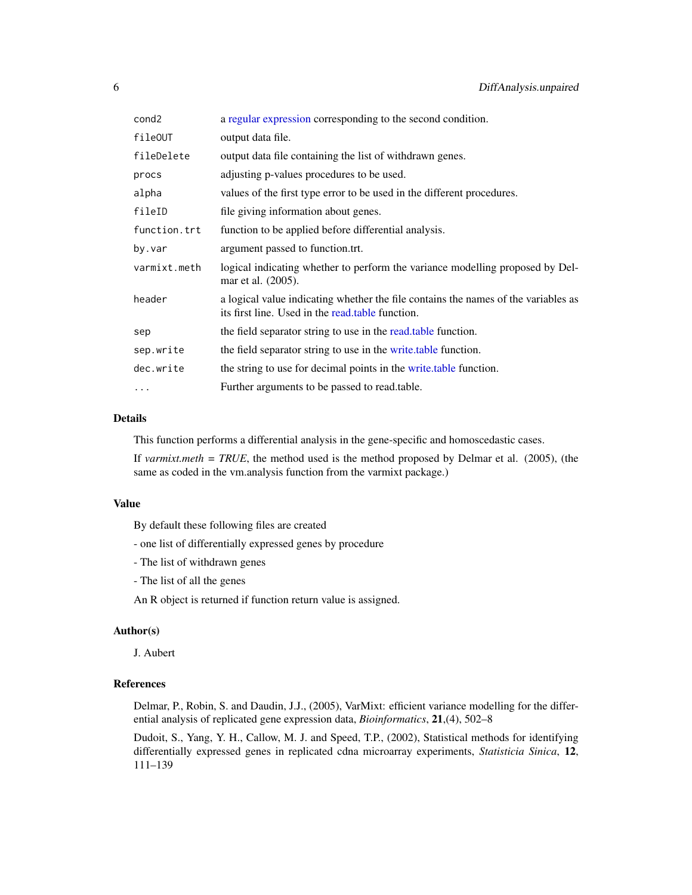<span id="page-5-0"></span>

| cond2        | a regular expression corresponding to the second condition.                                                                            |
|--------------|----------------------------------------------------------------------------------------------------------------------------------------|
| fileOUT      | output data file.                                                                                                                      |
| fileDelete   | output data file containing the list of withdrawn genes.                                                                               |
| procs        | adjusting p-values procedures to be used.                                                                                              |
| alpha        | values of the first type error to be used in the different procedures.                                                                 |
| fileID       | file giving information about genes.                                                                                                   |
| function.trt | function to be applied before differential analysis.                                                                                   |
| by.var       | argument passed to function.trt.                                                                                                       |
| varmixt.meth | logical indicating whether to perform the variance modelling proposed by Del-<br>mar et al. (2005).                                    |
| header       | a logical value indicating whether the file contains the names of the variables as<br>its first line. Used in the read.table function. |
| sep          | the field separator string to use in the read, table function.                                                                         |
| sep.write    | the field separator string to use in the write table function.                                                                         |
| dec.write    | the string to use for decimal points in the write table function.                                                                      |
| .            | Further arguments to be passed to read.table.                                                                                          |
|              |                                                                                                                                        |

#### Details

This function performs a differential analysis in the gene-specific and homoscedastic cases.

If *varmixt.meth = TRUE*, the method used is the method proposed by Delmar et al. (2005), (the same as coded in the vm.analysis function from the varmixt package.)

#### Value

By default these following files are created

- one list of differentially expressed genes by procedure

- The list of withdrawn genes

- The list of all the genes

An R object is returned if function return value is assigned.

#### Author(s)

J. Aubert

#### References

Delmar, P., Robin, S. and Daudin, J.J., (2005), VarMixt: efficient variance modelling for the differential analysis of replicated gene expression data, *Bioinformatics*, 21,(4), 502–8

Dudoit, S., Yang, Y. H., Callow, M. J. and Speed, T.P., (2002), Statistical methods for identifying differentially expressed genes in replicated cdna microarray experiments, *Statisticia Sinica*, 12, 111–139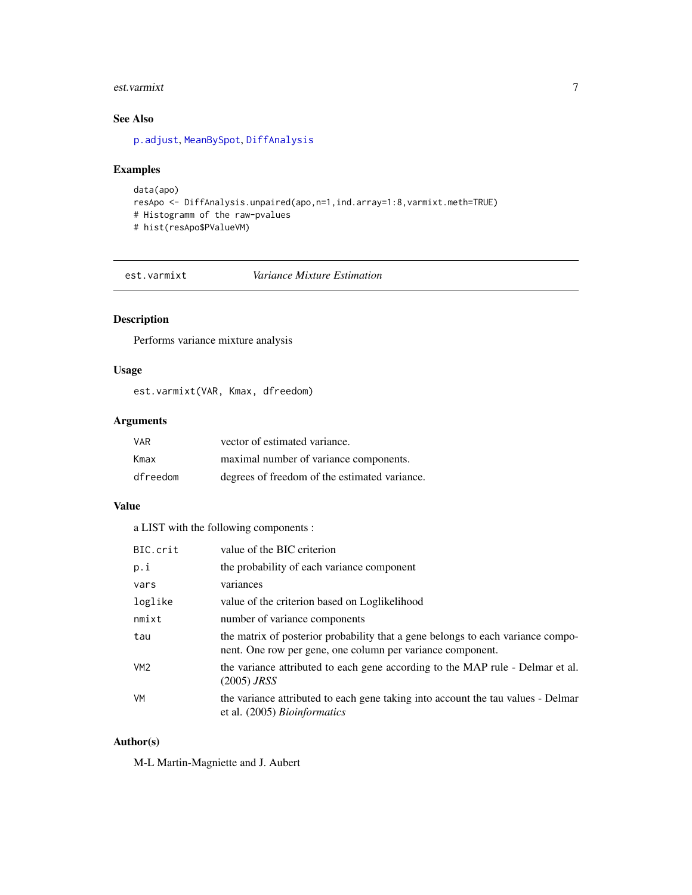#### <span id="page-6-0"></span>est.varmixt 7

# See Also

[p.adjust](#page-0-0), [MeanBySpot](#page-12-1), [DiffAnalysis](#page-2-1)

#### Examples

```
data(apo)
resApo <- DiffAnalysis.unpaired(apo,n=1,ind.array=1:8,varmixt.meth=TRUE)
# Histogramm of the raw-pvalues
# hist(resApo$PValueVM)
```
est.varmixt *Variance Mixture Estimation*

#### Description

Performs variance mixture analysis

#### Usage

est.varmixt(VAR, Kmax, dfreedom)

#### Arguments

| VAR      | vector of estimated variance.                 |
|----------|-----------------------------------------------|
| Kmax     | maximal number of variance components.        |
| dfreedom | degrees of freedom of the estimated variance. |

## Value

a LIST with the following components :

| BIC.crit        | value of the BIC criterion                                                                                                                    |
|-----------------|-----------------------------------------------------------------------------------------------------------------------------------------------|
| p.i             | the probability of each variance component                                                                                                    |
| vars            | variances                                                                                                                                     |
| loglike         | value of the criterion based on Loglikelihood                                                                                                 |
| nmixt           | number of variance components                                                                                                                 |
| tau             | the matrix of posterior probability that a gene belongs to each variance compo-<br>nent. One row per gene, one column per variance component. |
| VM <sub>2</sub> | the variance attributed to each gene according to the MAP rule - Delmar et al.<br>$(2005)$ JRSS                                               |
| VM              | the variance attributed to each gene taking into account the tau values - Delmar<br>et al. (2005) <i>Bioinformatics</i>                       |

#### Author(s)

M-L Martin-Magniette and J. Aubert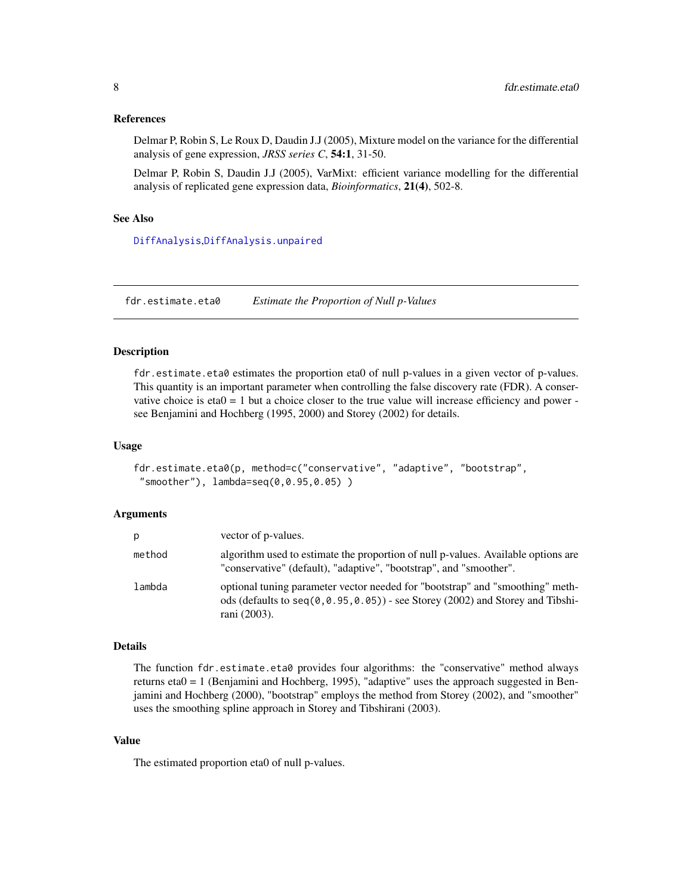#### <span id="page-7-0"></span>References

Delmar P, Robin S, Le Roux D, Daudin J.J (2005), Mixture model on the variance for the differential analysis of gene expression, *JRSS series C*, 54:1, 31-50.

Delmar P, Robin S, Daudin J.J (2005), VarMixt: efficient variance modelling for the differential analysis of replicated gene expression data, *Bioinformatics*, 21(4), 502-8.

#### See Also

[DiffAnalysis](#page-2-1),[DiffAnalysis.unpaired](#page-4-1)

fdr.estimate.eta0 *Estimate the Proportion of Null p-Values*

#### Description

fdr.estimate.eta0 estimates the proportion eta0 of null p-values in a given vector of p-values. This quantity is an important parameter when controlling the false discovery rate (FDR). A conservative choice is  $eta = 1$  but a choice closer to the true value will increase efficiency and power see Benjamini and Hochberg (1995, 2000) and Storey (2002) for details.

#### Usage

```
fdr.estimate.eta0(p, method=c("conservative", "adaptive", "bootstrap",
 "smoother"), lambda=seq(0,0.95,0.05) )
```
#### Arguments

| p      | vector of p-values.                                                                                                                                                                  |
|--------|--------------------------------------------------------------------------------------------------------------------------------------------------------------------------------------|
| method | algorithm used to estimate the proportion of null p-values. Available options are<br>"conservative" (default), "adaptive", "bootstrap", and "smoother".                              |
| lambda | optional tuning parameter vector needed for "bootstrap" and "smoothing" meth-<br>ods (defaults to seq $(0, 0.95, 0.05)$ ) - see Storey (2002) and Storey and Tibshi-<br>rani (2003). |

#### Details

The function fdr.estimate.eta0 provides four algorithms: the "conservative" method always returns eta0 = 1 (Benjamini and Hochberg, 1995), "adaptive" uses the approach suggested in Benjamini and Hochberg (2000), "bootstrap" employs the method from Storey (2002), and "smoother" uses the smoothing spline approach in Storey and Tibshirani (2003).

#### Value

The estimated proportion eta0 of null p-values.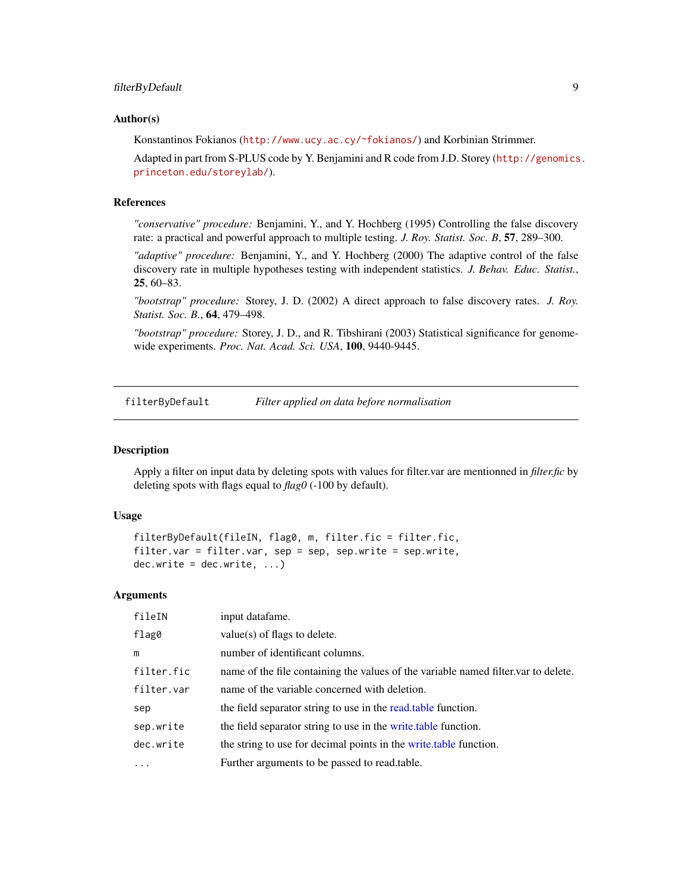#### <span id="page-8-0"></span>Author(s)

Konstantinos Fokianos (<http://www.ucy.ac.cy/~fokianos/>) and Korbinian Strimmer.

Adapted in part from S-PLUS code by Y. Benjamini and R code from J.D. Storey ([http://genomics](http://genomics.princeton.edu/storeylab/). [princeton.edu/storeylab/](http://genomics.princeton.edu/storeylab/)).

#### References

*"conservative" procedure:* Benjamini, Y., and Y. Hochberg (1995) Controlling the false discovery rate: a practical and powerful approach to multiple testing. *J. Roy. Statist. Soc. B*, 57, 289–300.

*"adaptive" procedure:* Benjamini, Y., and Y. Hochberg (2000) The adaptive control of the false discovery rate in multiple hypotheses testing with independent statistics. *J. Behav. Educ. Statist.*, 25, 60–83.

*"bootstrap" procedure:* Storey, J. D. (2002) A direct approach to false discovery rates. *J. Roy. Statist. Soc. B.*, 64, 479–498.

*"bootstrap" procedure:* Storey, J. D., and R. Tibshirani (2003) Statistical significance for genomewide experiments. *Proc. Nat. Acad. Sci. USA*, 100, 9440-9445.

<span id="page-8-1"></span>filterByDefault *Filter applied on data before normalisation*

#### Description

Apply a filter on input data by deleting spots with values for filter.var are mentionned in *filter.fic* by deleting spots with flags equal to *flag0* (-100 by default).

#### Usage

```
filterByDefault(fileIN, flag0, m, filter.fic = filter.fic,
filter.var = filter.var, sep = sep, sep.write = sep.write,
dec.write = dec.write, ...)
```
#### Arguments

| fileIN     | input datafame.                                                                    |
|------------|------------------------------------------------------------------------------------|
| flag0      | $value(s)$ of flags to delete.                                                     |
| m          | number of identificant columns.                                                    |
| filter.fic | name of the file containing the values of the variable named filter var to delete. |
| filter.var | name of the variable concerned with deletion.                                      |
| sep        | the field separator string to use in the read, table function.                     |
| sep.write  | the field separator string to use in the write table function.                     |
| dec.write  | the string to use for decimal points in the write table function.                  |
| $\cdots$   | Further arguments to be passed to read.table.                                      |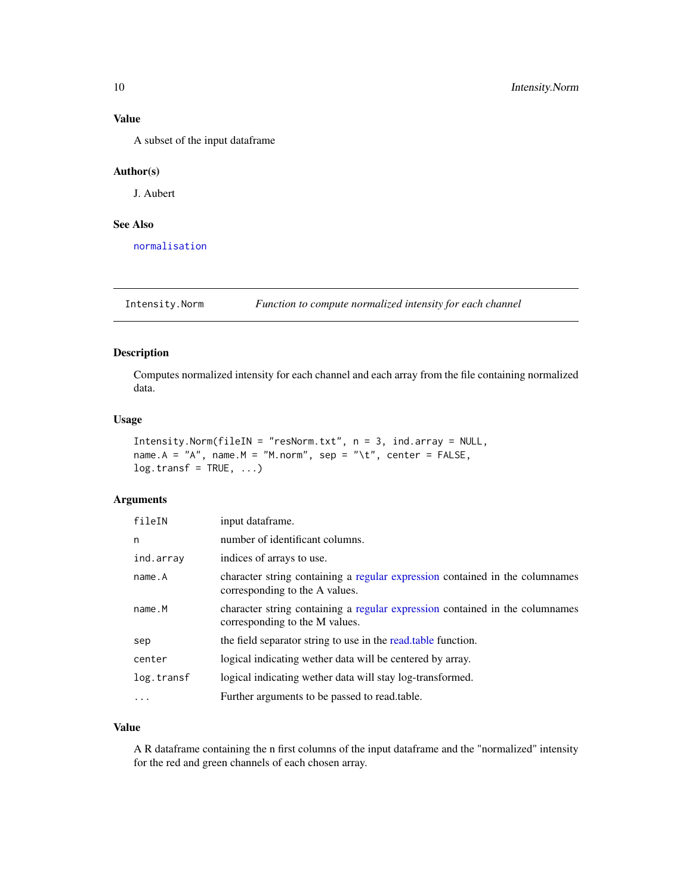### <span id="page-9-0"></span>Value

A subset of the input dataframe

#### Author(s)

J. Aubert

#### See Also

[normalisation](#page-13-1)

Intensity.Norm *Function to compute normalized intensity for each channel*

#### Description

Computes normalized intensity for each channel and each array from the file containing normalized data.

#### Usage

```
Intensity.Norm(fileIN = "resNorm.txt", n = 3, ind.array = NULL,
name.A = "A", name.M = "M.norm", sep = "\t", center = FALSE,
log.transf = TRUE, ...
```
#### Arguments

| fileIN     | input dataframe.                                                                                               |
|------------|----------------------------------------------------------------------------------------------------------------|
| n          | number of identificant columns.                                                                                |
| ind.array  | indices of arrays to use.                                                                                      |
| name.A     | character string containing a regular expression contained in the columnames<br>corresponding to the A values. |
| name.M     | character string containing a regular expression contained in the columnames<br>corresponding to the M values. |
| sep        | the field separator string to use in the read, table function.                                                 |
| center     | logical indicating wether data will be centered by array.                                                      |
| log.transf | logical indicating wether data will stay log-transformed.                                                      |
| $\cdots$   | Further arguments to be passed to read.table.                                                                  |

#### Value

A R dataframe containing the n first columns of the input dataframe and the "normalized" intensity for the red and green channels of each chosen array.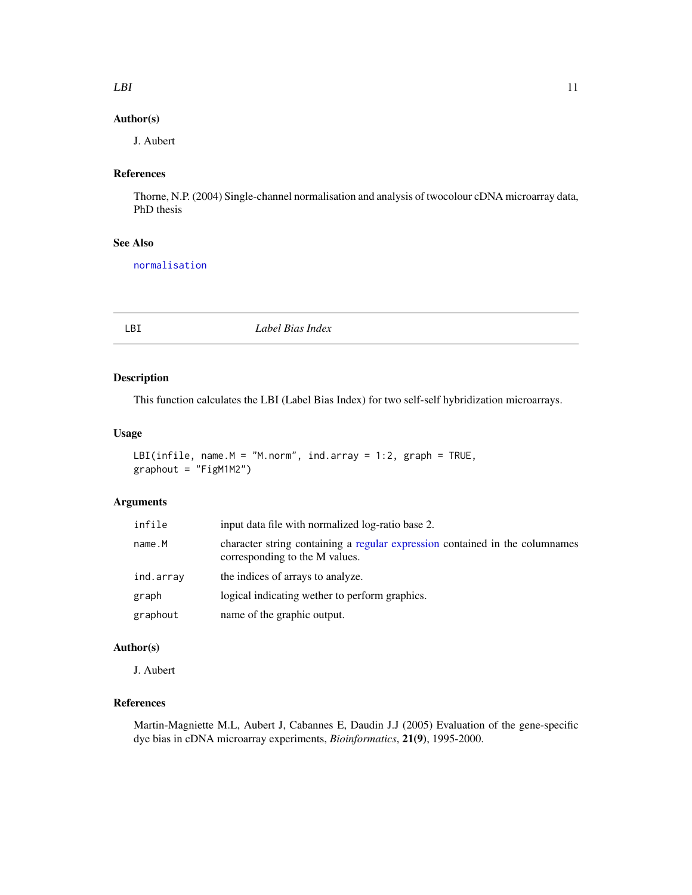#### <span id="page-10-0"></span> $LBI$  11

#### Author(s)

J. Aubert

# References

Thorne, N.P. (2004) Single-channel normalisation and analysis of twocolour cDNA microarray data, PhD thesis

### See Also

[normalisation](#page-13-1)

<span id="page-10-1"></span>LBI *Label Bias Index*

#### Description

This function calculates the LBI (Label Bias Index) for two self-self hybridization microarrays.

#### Usage

```
LBI(infile, name.M = "M.norm", ind.array = 1:2, graph = TRUE,
graphout = "FigM1M2")
```
#### Arguments

| infile    | input data file with normalized log-ratio base 2.                                                              |
|-----------|----------------------------------------------------------------------------------------------------------------|
| name.M    | character string containing a regular expression contained in the columnames<br>corresponding to the M values. |
| ind.array | the indices of arrays to analyze.                                                                              |
| graph     | logical indicating wether to perform graphics.                                                                 |
| graphout  | name of the graphic output.                                                                                    |

#### Author(s)

J. Aubert

### References

Martin-Magniette M.L, Aubert J, Cabannes E, Daudin J.J (2005) Evaluation of the gene-specific dye bias in cDNA microarray experiments, *Bioinformatics*, 21(9), 1995-2000.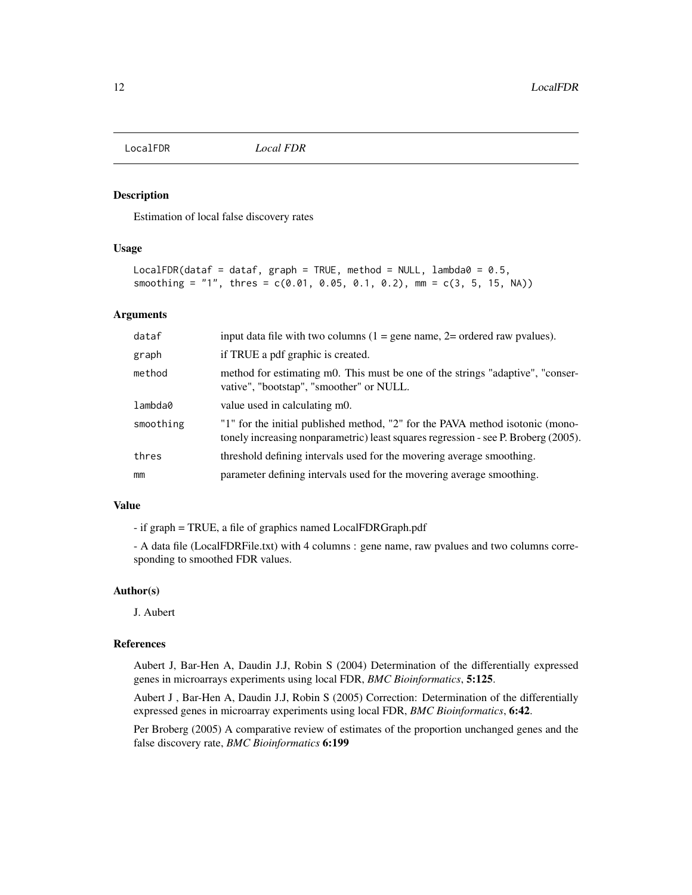<span id="page-11-1"></span><span id="page-11-0"></span>

#### Description

Estimation of local false discovery rates

#### Usage

```
LocalFDR(dataf = dataf, graph = TRUE, method = NULL, lambda0 = 0.5,
smoothing = "1", thres = c(0.01, 0.05, 0.1, 0.2), mm = c(3, 5, 15, NA))
```
#### Arguments

| dataf     | input data file with two columns $(1 = \text{gene name}, 2 = \text{ordered raw puzzles}).$                                                                          |
|-----------|---------------------------------------------------------------------------------------------------------------------------------------------------------------------|
| graph     | if TRUE a pdf graphic is created.                                                                                                                                   |
| method    | method for estimating m0. This must be one of the strings "adaptive", "conser-<br>vative", "bootstap", "smoother" or NULL.                                          |
| lambda0   | value used in calculating m0.                                                                                                                                       |
| smoothing | "1" for the initial published method, "2" for the PAVA method isotonic (mono-<br>tonely increasing nonparametric) least squares regression - see P. Broberg (2005). |
| thres     | threshold defining intervals used for the movering average smoothing.                                                                                               |
| mm        | parameter defining intervals used for the movering average smoothing.                                                                                               |

#### Value

- if graph = TRUE, a file of graphics named LocalFDRGraph.pdf

- A data file (LocalFDRFile.txt) with 4 columns : gene name, raw pvalues and two columns corresponding to smoothed FDR values.

#### Author(s)

J. Aubert

#### References

Aubert J, Bar-Hen A, Daudin J.J, Robin S (2004) Determination of the differentially expressed genes in microarrays experiments using local FDR, *BMC Bioinformatics*, 5:125.

Aubert J , Bar-Hen A, Daudin J.J, Robin S (2005) Correction: Determination of the differentially expressed genes in microarray experiments using local FDR, *BMC Bioinformatics*, 6:42.

Per Broberg (2005) A comparative review of estimates of the proportion unchanged genes and the false discovery rate, *BMC Bioinformatics* 6:199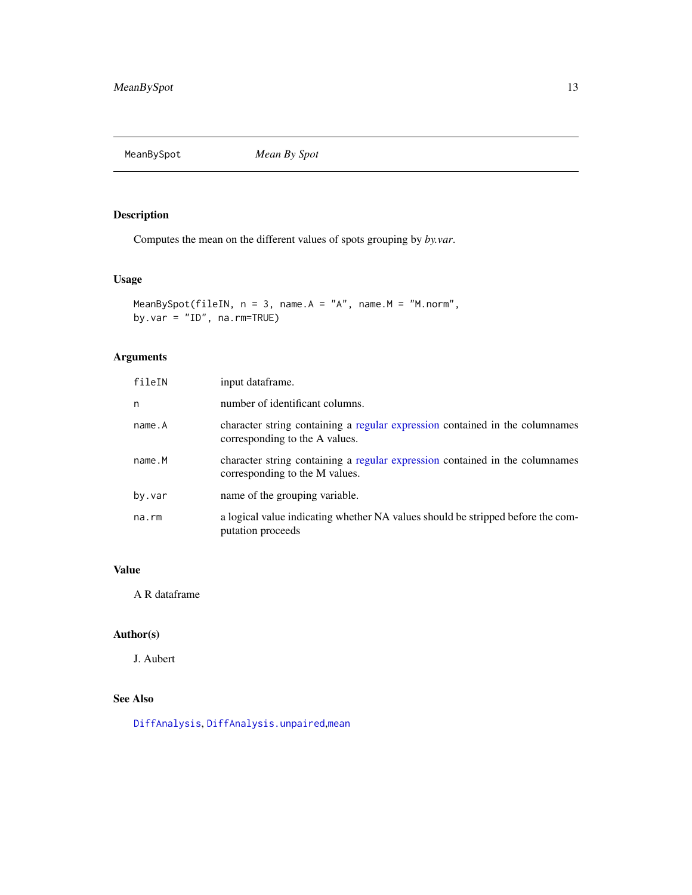<span id="page-12-1"></span><span id="page-12-0"></span>MeanBySpot *Mean By Spot*

#### Description

Computes the mean on the different values of spots grouping by *by.var*.

# Usage

```
MeanBySpot(fileIN, n = 3, name.A = "A", name.M = "M.norm",
by.var = "ID", na.rm=TRUE)
```
# Arguments

| fileIN | input dataframe.                                                                                               |
|--------|----------------------------------------------------------------------------------------------------------------|
| n      | number of identificant columns.                                                                                |
| name.A | character string containing a regular expression contained in the columnames<br>corresponding to the A values. |
| name.M | character string containing a regular expression contained in the columnames<br>corresponding to the M values. |
| by.var | name of the grouping variable.                                                                                 |
| na.rm  | a logical value indicating whether NA values should be stripped before the com-<br>putation proceeds           |

#### Value

A R dataframe

### Author(s)

J. Aubert

# See Also

[DiffAnalysis](#page-2-1), [DiffAnalysis.unpaired](#page-4-1),[mean](#page-0-0)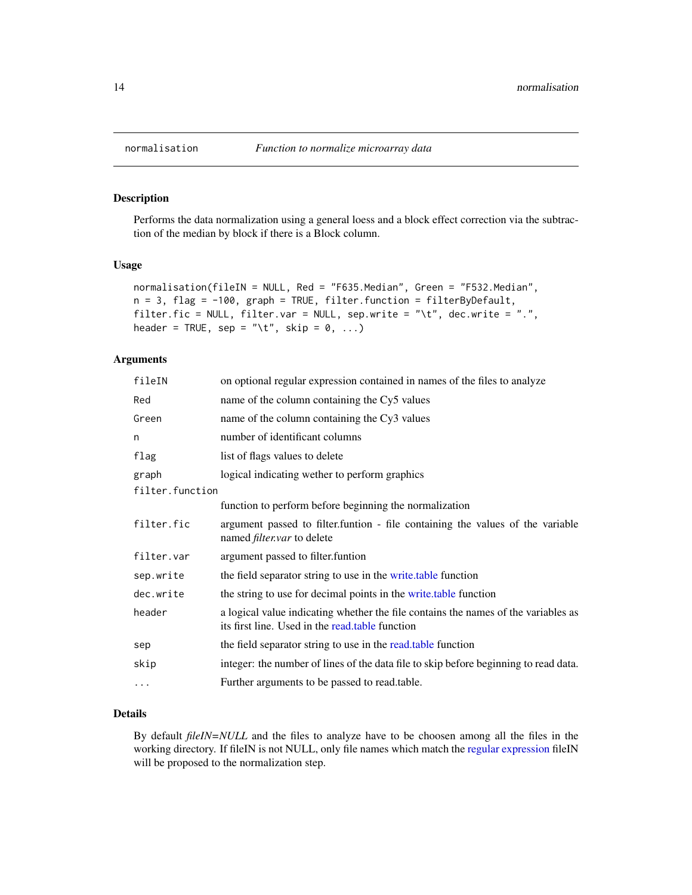#### Description

Performs the data normalization using a general loess and a block effect correction via the subtraction of the median by block if there is a Block column.

#### Usage

```
normalisation(fileIN = NULL, Red = "F635.Median", Green = "F532.Median",
n = 3, flag = -100, graph = TRUE, filter.function = filterByDefault,
filter.fic = NULL, filter.var = NULL, sep.write = "\t", dec.write = ".",
header = TRUE, sep = "\t", skip = 0, ...)
```
#### Arguments

| fileIN          | on optional regular expression contained in names of the files to analyze                                                             |
|-----------------|---------------------------------------------------------------------------------------------------------------------------------------|
| Red             | name of the column containing the Cy5 values                                                                                          |
| Green           | name of the column containing the Cy3 values                                                                                          |
| n               | number of identificant columns                                                                                                        |
| flag            | list of flags values to delete                                                                                                        |
| graph           | logical indicating wether to perform graphics                                                                                         |
| filter.function |                                                                                                                                       |
|                 | function to perform before beginning the normalization                                                                                |
| filter.fic      | argument passed to filter. funtion - file containing the values of the variable<br>named <i>filter.var</i> to delete                  |
| filter.var      | argument passed to filter. funtion                                                                                                    |
| sep.write       | the field separator string to use in the write table function                                                                         |
| dec.write       | the string to use for decimal points in the write table function                                                                      |
| header          | a logical value indicating whether the file contains the names of the variables as<br>its first line. Used in the read.table function |
| sep             | the field separator string to use in the read, table function                                                                         |
| skip            | integer: the number of lines of the data file to skip before beginning to read data.                                                  |
| $\cdots$        | Further arguments to be passed to read.table.                                                                                         |

#### Details

By default *fileIN=NULL* and the files to analyze have to be choosen among all the files in the working directory. If fileIN is not NULL, only file names which match the [regular expression](#page-0-0) fileIN will be proposed to the normalization step.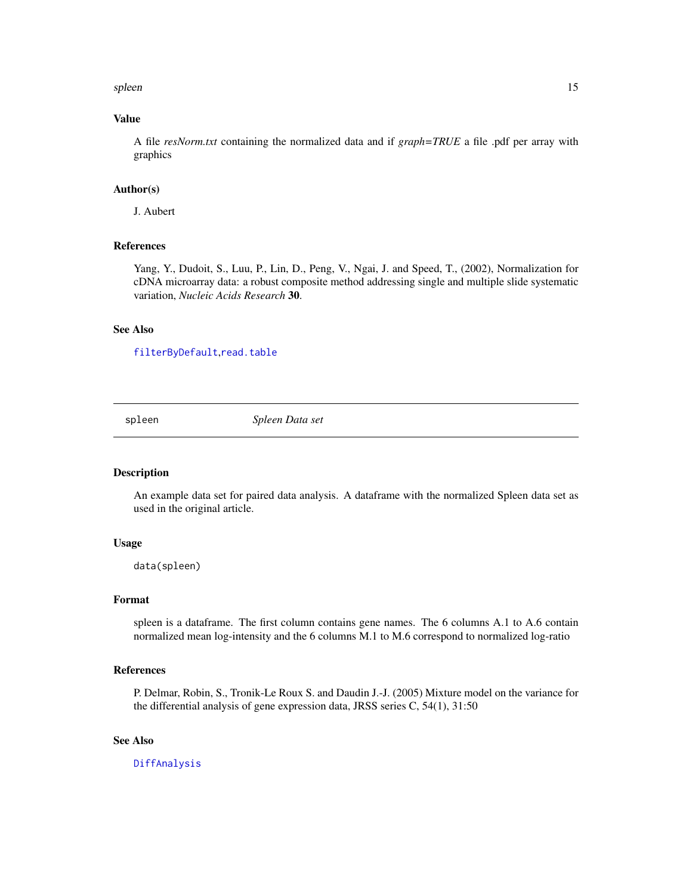#### <span id="page-14-0"></span>spleen 15

#### Value

A file *resNorm.txt* containing the normalized data and if *graph=TRUE* a file .pdf per array with graphics

#### Author(s)

J. Aubert

#### References

Yang, Y., Dudoit, S., Luu, P., Lin, D., Peng, V., Ngai, J. and Speed, T., (2002), Normalization for cDNA microarray data: a robust composite method addressing single and multiple slide systematic variation, *Nucleic Acids Research* 30.

#### See Also

[filterByDefault](#page-8-1),[read.table](#page-0-0)

spleen *Spleen Data set*

#### Description

An example data set for paired data analysis. A dataframe with the normalized Spleen data set as used in the original article.

#### Usage

data(spleen)

#### Format

spleen is a dataframe. The first column contains gene names. The 6 columns A.1 to A.6 contain normalized mean log-intensity and the 6 columns M.1 to M.6 correspond to normalized log-ratio

#### References

P. Delmar, Robin, S., Tronik-Le Roux S. and Daudin J.-J. (2005) Mixture model on the variance for the differential analysis of gene expression data, JRSS series C, 54(1), 31:50

#### See Also

[DiffAnalysis](#page-2-1)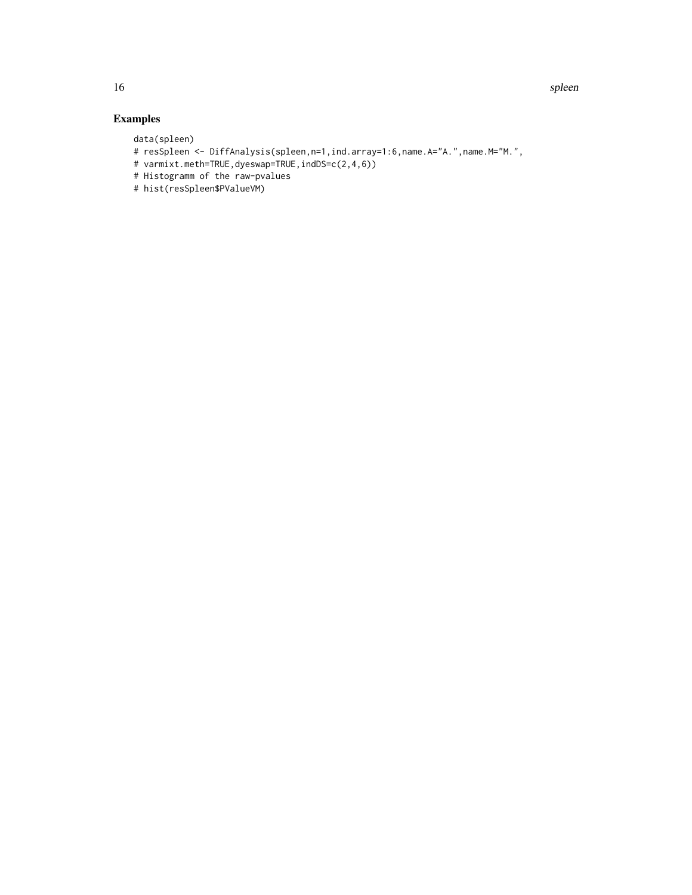# Examples

data(spleen)

- # resSpleen <- DiffAnalysis(spleen,n=1,ind.array=1:6,name.A="A.",name.M="M.",
- # varmixt.meth=TRUE,dyeswap=TRUE,indDS=c(2,4,6))
- # Histogramm of the raw-pvalues
- # hist(resSpleen\$PValueVM)